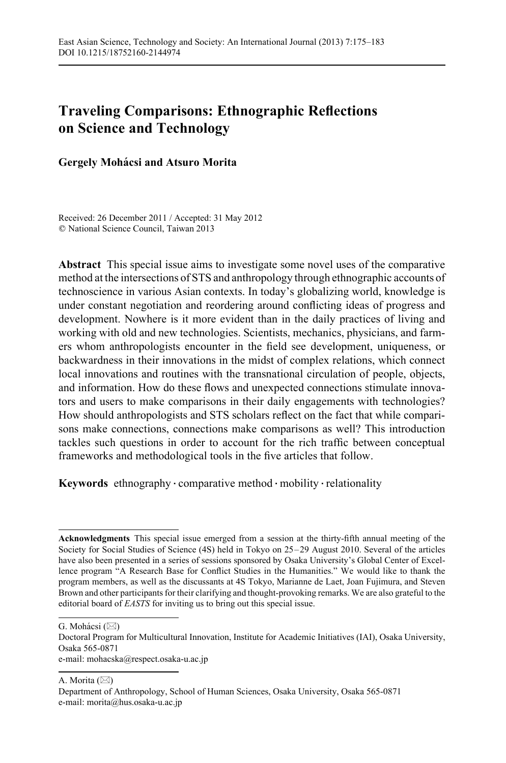# Traveling Comparisons: Ethnographic Reflections on Science and Technology

Gergely Mohácsi and Atsuro Morita

Received: 26 December 2011 / Accepted: 31 May 2012  $Q$  National Science Council, Taiwan 2013

Abstract This special issue aims to investigate some novel uses of the comparative method at the intersections of STS and anthropology through ethnographic accounts of technoscience in various Asian contexts. In today's globalizing world, knowledge is under constant negotiation and reordering around conflicting ideas of progress and development. Nowhere is it more evident than in the daily practices of living and working with old and new technologies. Scientists, mechanics, physicians, and farmers whom anthropologists encounter in the field see development, uniqueness, or backwardness in their innovations in the midst of complex relations, which connect local innovations and routines with the transnational circulation of people, objects, and information. How do these flows and unexpected connections stimulate innovators and users to make comparisons in their daily engagements with technologies? How should anthropologists and STS scholars reflect on the fact that while comparisons make connections, connections make comparisons as well? This introduction tackles such questions in order to account for the rich traffic between conceptual frameworks and methodological tools in the five articles that follow.

Keywords ethnography comparative method mobility relationality

G. Mohácsi  $(\boxtimes)$ 

A. Morita  $(\boxtimes)$ 

Acknowledgments This special issue emerged from a session at the thirty-fifth annual meeting of the Society for Social Studies of Science (4S) held in Tokyo on 25–29 August 2010. Several of the articles have also been presented in a series of sessions sponsored by Osaka University's Global Center of Excellence program "A Research Base for Conflict Studies in the Humanities." We would like to thank the program members, as well as the discussants at 4S Tokyo, Marianne de Laet, Joan Fujimura, and Steven Brown and other participants for their clarifying and thought-provoking remarks. We are also grateful to the editorial board of EASTS for inviting us to bring out this special issue.

Doctoral Program for Multicultural Innovation, Institute for Academic Initiatives (IAI), Osaka University, Osaka 565-0871

e-mail: mohacska@respect.osaka-u.ac.jp

Department of Anthropology, School of Human Sciences, Osaka University, Osaka 565-0871 e-mail: morita@hus.osaka-u.ac.jp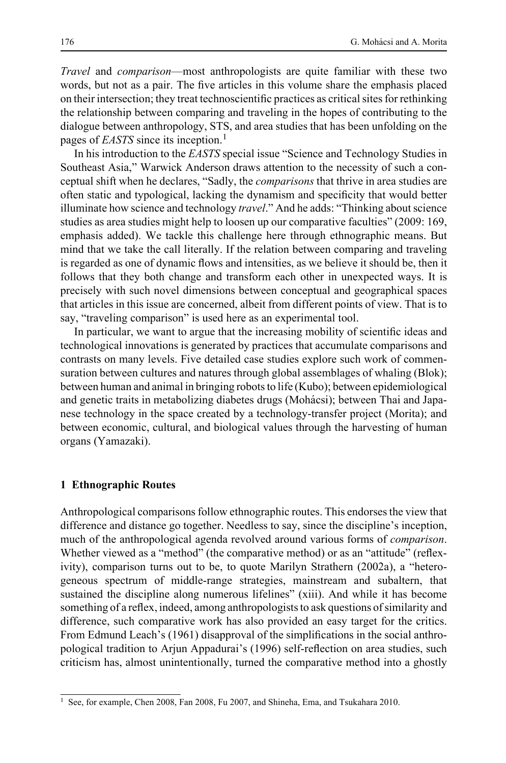176 G. Moha´csi and A. Morita

Travel and comparison—most anthropologists are quite familiar with these two words, but not as a pair. The five articles in this volume share the emph[asis](#page-7-0) [p](#page-7-0)laced on their intersection; they treat technoscientific practices as critical sites for rethinking the relationship between comparing and traveling in the hopes of contributing to the dialogue between anthropology, STS, and area studies that has been unfolding on the pages of *EASTS* since its inception.<sup>1</sup>

In his introduction to the EASTS special issue "Science and Technology Studies in Southeast Asia," Warwick Anderson draws attention to the necessity of such a conceptual shift when he declares, "Sadly, the comparisons that thrive in area studies are often static and typological, lacking the dynamism and specificity that would better illuminate how science and technology travel." And he adds: "Thinking about science studies as area studies might help to loosen up our comparative faculties" (2009: 169, emphasis added). We tackle this challenge here through ethnographic means. But mind that we take the call literally. If the relation between comparing and traveling is regarded as one of dynamic flows and intensities, as we believe it should be, then it follows that they both change and transform each other in unexpected ways. It is precisely with such novel dimensions between conceptual and geographical spaces that articles in this issue are concerned, albeit from different points of view. That is to say, "traveling comparison" is used here as an experimental tool.

In particular, we want to argue that the increasing mobility of scientific ideas and technological innovations is generated by practices that accumulate comparisons and contrasts on many levels. Five detailed case studies explore such work of commensuration between cultures and natures through global assemblages of whaling (Blok); between human and animal in bringing robots to life (Kubo); between epidemiological and genetic traits in metabolizing diabetes drugs (Mohácsi); between Thai and Japanese technology in the space created by a technology-transfer project (Morita); and between economic, cultural, and biological values thr[ough](#page-8-0) [the](#page-8-0) [harvestin](#page-8-0)g of human organs (Yamazaki).

## 1 Et[hnographic Routes](#page-8-0)

Anthropological com[parisons](#page-7-0) [follow](#page-7-0) [ethnograph](#page-7-0)ic routes. This endorses the view that difference and distance go together. Needless to say, since the discipline's inception, much of the anthropological agenda revolved around various forms of *comparison*. Whether viewe[d as a "me](#page-7-0)[thod" \(the comp](#page-8-0)ara[tive method\) or as an "attitud](#page-8-0)e" (reflexivity), comparison turns out to be, to quote Marilyn Strathern (2002a), a "heterogeneous spectrum of middle-range strategies, mainstream and subaltern, that sustained the discipline along numerous lifelines" (xiii). And while it has become something of a reflex, indeed, among anthropologists to ask questions of similarity and difference, such comparative work has also provided an easy target for the critics. From Edmund Leach's (1961) disapproval of the simplifications in the social anthropological tradition to Arjun Appadurai's (1996) self-reflection on area studies, such criticism has, almost unintentionally, turned the comparative method into a ghostly

<sup>&</sup>lt;sup>1</sup> See, for example, Chen 2008, Fan 2008, Fu 2007, and Shineha, Ema, and Tsukahara 2010.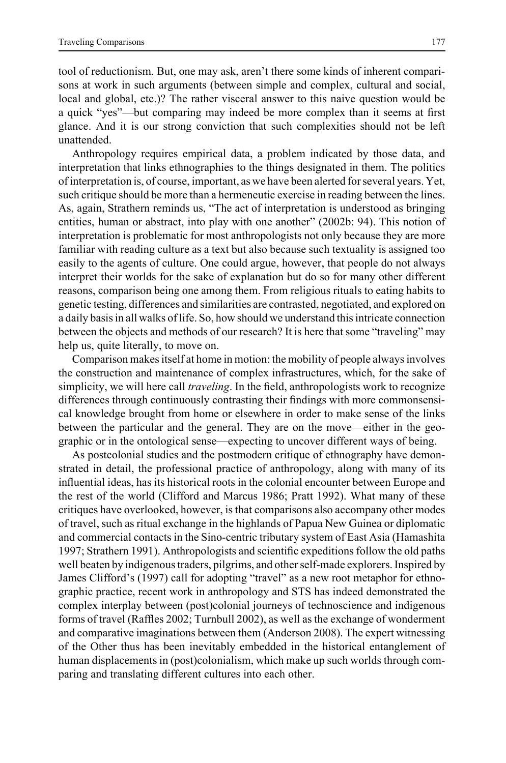Traveling Comparisons 177

tool of reductionism. But, one may ask, aren't there some kinds of inherent comparisons at work in such arguments (between simple and co[mplex,](#page-8-0) [cul](#page-8-0)tural and social, local and global, etc.)? The rather visceral answer to this naive question would be a quick "yes"—but comparing may indeed be more complex than it seems at first glance. And it is our strong conviction that such complexities should not be left unattended.

Anthropology requires empirical data, a problem indicated by those data, and interpretation that links ethnographies to the things designated in them. The politics of interpretation is, of course, important, as we have been alerted for several years. Yet, such critique should be more than a hermeneutic exercise in reading between the lines. As, again, Strathern reminds us, "The act of interpretation is understood as bringing entities, human or abstract, into play with one another" (2002b: 94). This notion of interpretation is problematic for most anthropologists not only because they are more familiar with reading culture as a text but also because such textuality is assigned too easily to the agents of culture. One could argue, however, that people do not always interpret their worlds for the sake of explanation but do so for many other different reasons, comparison being one among them. From religious rituals to eating habits to genetic testing, differences and similarities are contrasted, negotiated, and explored on a daily basis in all walks of life. So, how should we understand this intricate connection between the objects and methods of our research? It is here that some "traveling" may help us, quite literally, to move on.

Comparison makes [itself](#page-8-0) [at](#page-8-0) [home](#page-8-0) [in](#page-8-0) [motion:](#page-8-0) [the](#page-8-0) [mobility](#page-8-0) [of](#page-8-0) people always involves the construction and maintenance of complex infrastructures, which, for the sake of simplicity, we will here call *traveling*. In the field, anthropologists work to recognize differences through continuously contrasting their findings with more co[mmonsensi](#page-8-0)[cal](#page-8-0) [knowledge](#page-8-0) [broug](#page-8-0)ht from home or elsewhere in order to make sense of the links [between the particular a](#page-8-0)nd the general. They are on the move—either in the geographic or in the ontological sense—expecting to uncover different ways of being.

As postcolonial studies and the postmodern critique of ethnography have demonstrated in detail[, the profess](#page-8-0)i[onal practice o](#page-8-0)f anthropology, along with many of its influential ideas, has its historical roots in the [colonial encoun](#page-7-0)ter between Europe and the rest of the world (Clifford and Marcus 1986; Pratt 1992). What many of these critiques have overlooked, however, is that comparisons also accompany other modes of travel, such as ritual exchange in the highlands of Papua New Guinea or diplomatic and commercial contacts in the Sino-centric tributary system of East Asia (Hamashita 1997; Strathern 1991). Anthropologists and scientific expeditions follow the old paths well beaten by indigenous traders, pilgrims, and other self-made explorers. Inspired by James Clifford's (1997) call for adopting "travel" as a new root metaphor for ethnographic practice, recent work in anthropology and STS has indeed demonstrated the complex interplay between (post)colonial journeys of technoscience and indigenous forms of travel (Raffles 2002; Turnbull 2002), as well as the exchange of wonderment and comparative imaginations between them (Anderson 2008). The expert witnessing of the Other thus has been inevitably embedded in the historical entanglement of human displacements in (post)colonialism, which make up such worlds through comparing and translating different cultures into each other.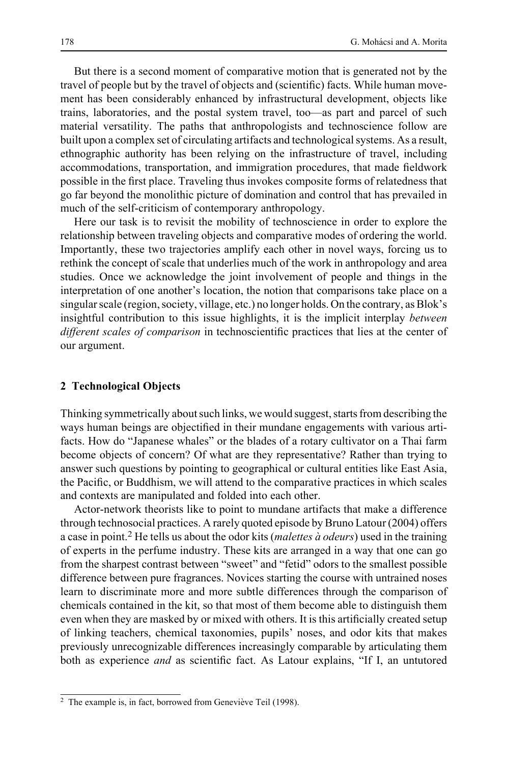178 G. Moha´csi and A. Morita

But there is a second moment of comparative motion that is generated not by the travel of people but by the travel of objects and (scientific) facts. While human movement has been considerably enhanced by infrastructural development, objects like trains, laboratories, and the postal system travel, too—as part and parcel of such material versatility. The paths that anthropologists and technoscience follow are built upon a complex set of circulating artifacts and technological systems. As a result, ethnographic authority has been relying on the infrastructure of travel, including accommodations, transportation, and immigration procedures, that made fieldwork possible in the first place. Traveling thus invokes composite forms of relatedness that go far beyond the monolithic picture of domination and control that has prevailed in much of the self-criticism of contemporary anthropology.

Here our task is to revisit the mobility of technoscience in order to explore the relationship between traveling objects and comparative modes of ordering the world. Importantly, these two trajectories amplify each other in novel ways, forcing us to rethink the concept of scale that underlies much of the work in anthropology and area studies. Once we acknowledge the joint involvement of people and things in the interpretation of one another's location, the notion that comparisons take place on a singular scale (region, society, village, etc.) no longer holds. On the contrary, as Blok's insightful contribution to this issue highlights, it is the implicit interplay *between* different scales of comparison in technoscientific practices that lies at the center of our argument.

## 2 Technological Objects

Thinking symmetrically about such links, we would suggest, starts from describing the ways human beings are objectified in their mundane engagements with various artifacts. How do "Japanese whales" or the blades of a rotary cultivator on a Thai farm become objects of concern? Of what are they representative? Rather than trying to answer such questions by pointing to geographical or cultural entities like East Asia, the Pacific, or Buddhism, we will attend to the comparative practices in which scales and contexts are manipulated and folded into each other.

Actor-network theorists like to point to mundane artifacts that make a difference through technosocial practices. A rarely quoted episode by Bruno Latour (2004) offers a case in point.<sup>2</sup> He tells us about the odor kits (*malettes à odeurs*) used in the training of experts in the perfume industry. These kits are arranged in a way that one can go from the sharpest contrast between "sweet["](#page-8-0) [and](#page-8-0) ["feti](#page-8-0)d" odors to the smallest possible difference between pure fragrances. Novices starting the course with untrained noses learn to discriminate more and more subtle differences through the comparison of chemicals contained in the kit, so that most of them become able to distinguish them even when they are masked by or mixed with others. It is this artificially created setup of linking teachers, chemical taxonomies, pupils' noses, and odor kits that makes previously unrecognizable differences increasingly comparable by articulating them both as experience and as scientific fact. As Latour explains, "If I, an untutored

<sup>&</sup>lt;sup>2</sup> The example is, in fact, borrowed from Geneviève Teil (1998).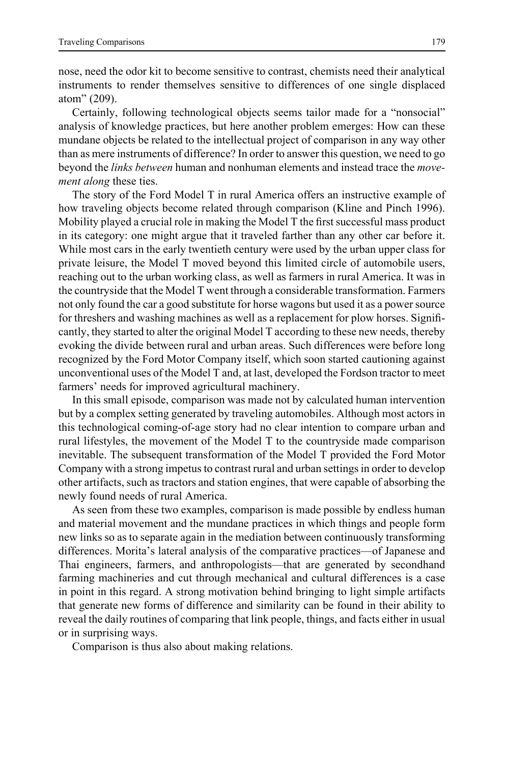Traveling Comparisons 179

nose, need the odor kit to become sensitive to contrast, chem[ists](#page-8-0) [need](#page-8-0) [their](#page-8-0) [analytica](#page-8-0)l instruments to render themselves sensitive to differences of one single displaced atom" (209).

Certainly, following technological objects seems tailor made for a "nonsocial" analysis of knowledge practices, but here another problem emerges: How can these mundane objects be related to the intellectual project of comparison in any way other than as mere instruments of difference? In order to answer this question, we need to go beyond the *links between* human and nonhuman elements and instead trace the *move*ment along these ties.

The story of the Ford Model T in rural America offers an instructive example of how traveling objects become related through comparison (Kline and Pinch 1996). Mobility played a crucial role in making the Model T the first successful mass product in its category: one might argue that it traveled farther than any other car before it. While most cars in the early twentieth century were used by the urban upper class for private leisure, the Model T moved beyond this limited circle of automobile users, reaching out to the urban working class, as well as farmers in rural America. It was in the countryside that the Model T went through a considerable transformation. Farmers not only found the car a good substitute for horse wagons but used it as a power source for threshers and washing machines as well as a replacement for plow horses. Significantly, they started to alter the original Model T according to these new needs, thereby evoking the divide between rural and urban areas. Such differences were before long recognized by the Ford Motor Company itself, which soon started cautioning against unconventional uses of the Model T and, at last, developed the Fordson tractor to meet farmers' needs for improved agricultural machinery.

In this small episode, comparison was made not by calculated human intervention but by a complex setting generated by traveling automobiles. Although most actors in this technological coming-of-age story had no clear intention to compare urban and rural lifestyles, the movement of the Model T to the countryside made comparison inevitable. The subsequent transformation of the Model T provided the Ford Motor Company with a strong impetus to contrast rural and urban settings in order to develop other artifacts, such as tractors and station engines, that were capable of absorbing the newly found needs of rural America.

As seen from these two examples, comparison is made possible by endless human and material movement and the mundane practices in which things and people form new links so as to separate again in the mediation between continuously transforming differences. Morita's lateral analysis of the comparative practices—of Japanese and Thai engineers, farmers, and anthropologists—that are generated by secondhand farming machineries and cut through mechanical and cultural differences is a case in point in this regard. A strong motivation behind bringing to light simple artifacts that generate new forms of difference and similarity can be found in their ability to reveal the daily routines of comparing that link people, things, and facts either in usual or in surprising ways.

Comparison is thus also about making relations.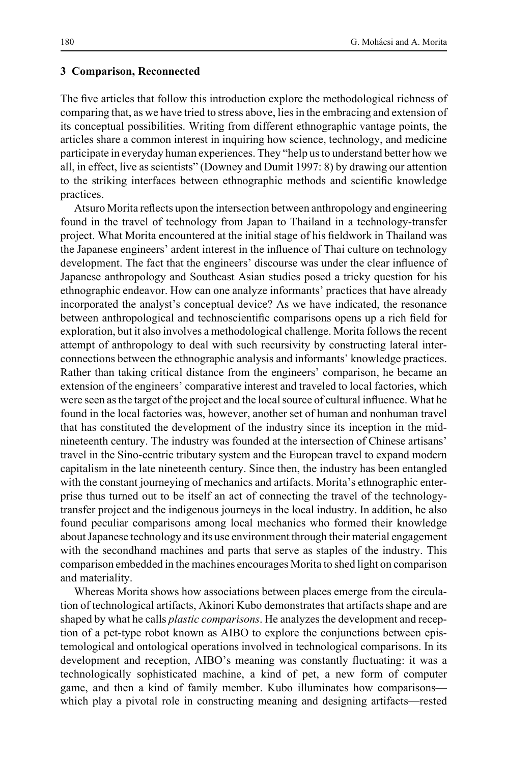180 G. Mohácsi and A. Morita

#### 3 Comparison, Reconnected

The five articles that follow this introduction explore the methodological richness of comparing that, as we have tried to stress above, lies in the embracing and extension of its conceptual possibilities. Writing from different ethnographic vantage points, the articles share a common interest in inquiring how science, technology, and medicine participate in everyday human experiences. They "help us to understand better how we all, in effect, live as scientists" (Downey and Dumit 1997: 8) by drawing our attention to the striking interfaces between ethnographic methods and scientific knowledge practices.

Atsuro Morita reflects upon the intersection between anthropology and engineering found in the travel of technology from Japan to Thailand in a technology-transfer project. What Morita encountered at the initial stage of his fieldwork in Thailand was the Japanese engineers' ardent interest in the influence of Thai culture on technology development. The fact that the engineers' discourse was under the clear influence of Japanese anthropology and Southeast Asian studies posed a tricky question for his ethnographic endeavor. How can one analyze informants' practices that have already incorporated the analyst's conceptual device? As we have indicated, the resonance between anthropological and technoscientific comparisons opens up a rich field for exploration, but it also involves a methodological challenge. Morita follows the recent attempt of anthropology to deal with such recursivity by constructing lateral interconnections between the ethnographic analysis and informants' knowledge practices. Rather than taking critical distance from the engineers' comparison, he became an extension of the engineers' comparative interest and traveled to local factories, which were seen as the target of the project and the local source of cultural influence. What he found in the local factories was, however, another set of human and nonhuman travel that has constituted the development of the industry since its inception in the midnineteenth century. The industry was founded at the intersection of Chinese artisans' travel in the Sino-centric tributary system and the European travel to expand modern capitalism in the late nineteenth century. Since then, the industry has been entangled with the constant journeying of mechanics and artifacts. Morita's ethnographic enterprise thus turned out to be itself an act of connecting the travel of the technologytransfer project and the indigenous journeys in the local industry. In addition, he also found peculiar comparisons among local mechanics who formed their knowledge about Japanese technology and its use environment through their material engagement with the secondhand machines and parts that serve as staples of the industry. This comparison embedded in the machines encourages Morita to shed light on comparison and materiality.

Whereas Morita shows how associations between places emerge from the circulation of technological artifacts, Akinori Kubo demonstrates that artifacts shape and are shaped by what he calls *plastic comparisons*. He analyzes the development and reception of a pet-type robot known as AIBO to explore the conjunctions between epistemological and ontological operations involved in technological comparisons. In its development and reception, AIBO's meaning was constantly fluctuating: it was a technologically sophisticated machine, a kind of pet, a new form of computer game, and then a kind of family member. Kubo illuminates how comparisons which play a pivotal role in constructing meaning and designing artifacts—rested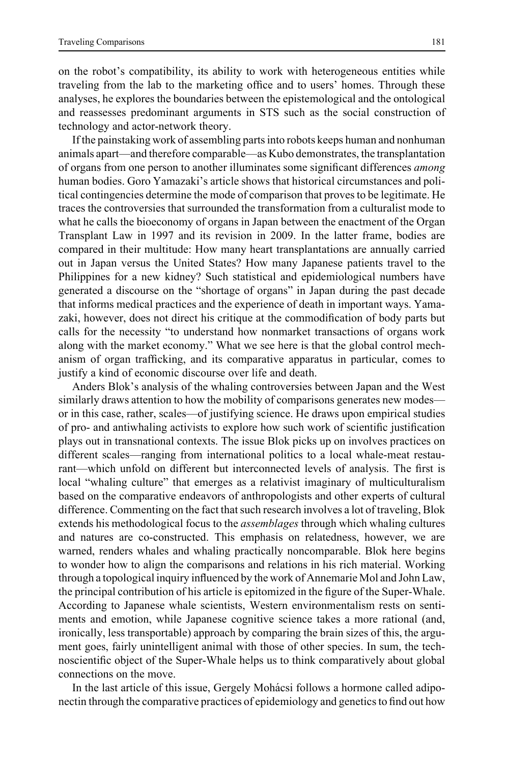on the robot's compatibility, its ability to work with heterogeneous entities while traveling from the lab to the marketing office and to users' homes. Through these analyses, he explores the boundaries between the epistemological and the ontological and reassesses predominant arguments in STS such as the social construction of technology and actor-network theory.

If the painstaking work of assembling parts into robots keeps human and nonhuman animals apart—and therefore comparable—as Kubo demonstrates, the transplantation of organs from one person to another illuminates some significant differences *among* human bodies. Goro Yamazaki's article shows that historical circumstances and political contingencies determine the mode of comparison that proves to be legitimate. He traces the controversies that surrounded the transformation from a culturalist mode to what he calls the bioeconomy of organs in Japan between the enactment of the Organ Transplant Law in 1997 and its revision in 2009. In the latter frame, bodies are compared in their multitude: How many heart transplantations are annually carried out in Japan versus the United States? How many Japanese patients travel to the Philippines for a new kidney? Such statistical and epidemiological numbers have generated a discourse on the "shortage of organs" in Japan during the past decade that informs medical practices and the experience of death in important ways. Yamazaki, however, does not direct his critique at the commodification of body parts but calls for the necessity "to understand how nonmarket transactions of organs work along with the market economy." What we see here is that the global control mechanism of organ trafficking, and its comparative apparatus in particular, comes to justify a kind of economic discourse over life and death.

Anders Blok's analysis of the whaling controversies between Japan and the West similarly draws attention to how the mobility of comparisons generates new modes or in this case, rather, scales—of justifying science. He draws upon empirical studies of pro- and antiwhaling activists to explore how such work of scientific justification plays out in transnational contexts. The issue Blok picks up on involves practices on different scales—ranging from international politics to a local whale-meat restaurant—which unfold on different but interconnected levels of analysis. The first is local "whaling culture" that emerges as a relativist imaginary of multiculturalism based on the comparative endeavors of anthropologists and other experts of cultural difference. Commenting on the fact that such research involves a lot of traveling, Blok extends his methodological focus to the *assemblages* through which whaling cultures and natures are co-constructed. This emphasis on relatedness, however, we are warned, renders whales and whaling practically noncomparable. Blok here begins to wonder how to align the comparisons and relations in his rich material. Working through a topological inquiry influenced by the work of Annemarie Mol and John Law, the principal contribution of his article is epitomized in the figure of the Super-Whale. According to Japanese whale scientists, Western environmentalism rests on sentiments and emotion, while Japanese cognitive science takes a more rational (and, ironically, less transportable) approach by comparing the brain sizes of this, the argument goes, fairly unintelligent animal with those of other species. In sum, the technoscientific object of the Super-Whale helps us to think comparatively about global connections on the move.

In the last article of this issue, Gergely Mohácsi follows a hormone called adiponectin through the comparative practices of epidemiology and genetics to find out how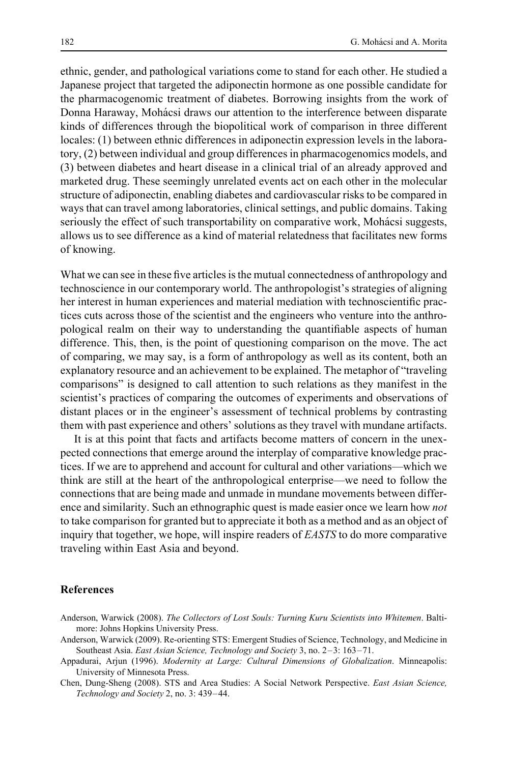<span id="page-7-0"></span>ethnic, gender, and pathological variations come to stand for each other. He studied a Japanese project that targeted the adiponectin hormone as one possible candidate for the pharmacogenomic treatment of diabetes. Borrowing insights from the work of Donna Haraway, Mohácsi draws our attention to the interference between disparate kinds of differences through the biopolitical work of comparison in three different locales: (1) between ethnic differences in adiponectin expression levels in the laboratory, (2) between individual and group differences in pharmacogenomics models, and (3) between diabetes and heart disease in a clinical trial of an already approved and marketed drug. These seemingly unrelated events act on each other in the molecular structure of adiponectin, enabling diabetes and cardiovascular risks to be compared in ways that can travel among laboratories, clinical settings, and public domains. Taking seriously the effect of such transportability on comparative work, Mohácsi suggests, allows us to see difference as a kind of material relatedness that facilitates new forms of knowing.

What we can see in these five articles is the mutual connectedness of anthropology and technoscience in our contemporary world. The anthropologist's strategies of aligning her interest in human experiences and material mediation with technoscientific practices cuts across those of the scientist and the engineers who venture into the anthropological realm on their way to understanding the quantifiable aspects of human difference. This, then, is the point of questioning comparison on the move. The act of comparing, we may say, is a form of anthropology as well as its content, both an explanatory resource and an achievement to be explained. The metaphor of "traveling comparisons" is designed to call attention to such relations as they manifest in the scientist's practices of comparing the outcomes of experiments and observations of distant places or in the engineer's assessment of technical problems by contrasting them with past experience and others' solutions as they travel with mundane artifacts.

It is at this point that facts and artifacts become matters of concern in the unexpected connections that emerge around the interplay of comparative knowledge practices. If we are to apprehend and account for cultural and other variations—which we think are still at the heart of the anthropological enterprise—we need to follow the connections that are being made and unmade in mundane movements between difference and similarity. Such an ethnographic quest is made easier once we learn how *not* to take comparison for granted but to appreciate it both as a method and as an object of inquiry that together, we hope, will inspire readers of EASTS to do more comparative traveling within East Asia and beyond.

#### References

- Anderson, Warwick (2008). The Collectors of Lost Souls: Turning Kuru Scientists into Whitemen. Baltimore: Johns Hopkins University Press.
- Anderson, Warwick (2009). Re-orienting STS: Emergent Studies of Science, Technology, and Medicine in Southeast Asia. East Asian Science, Technology and Society 3, no. 2–3: 163–71.
- Appadurai, Arjun (1996). Modernity at Large: Cultural Dimensions of Globalization. Minneapolis: University of Minnesota Press.

Chen, Dung-Sheng (2008). STS and Area Studies: A Social Network Perspective. East Asian Science, Technology and Society 2, no. 3: 439–44.